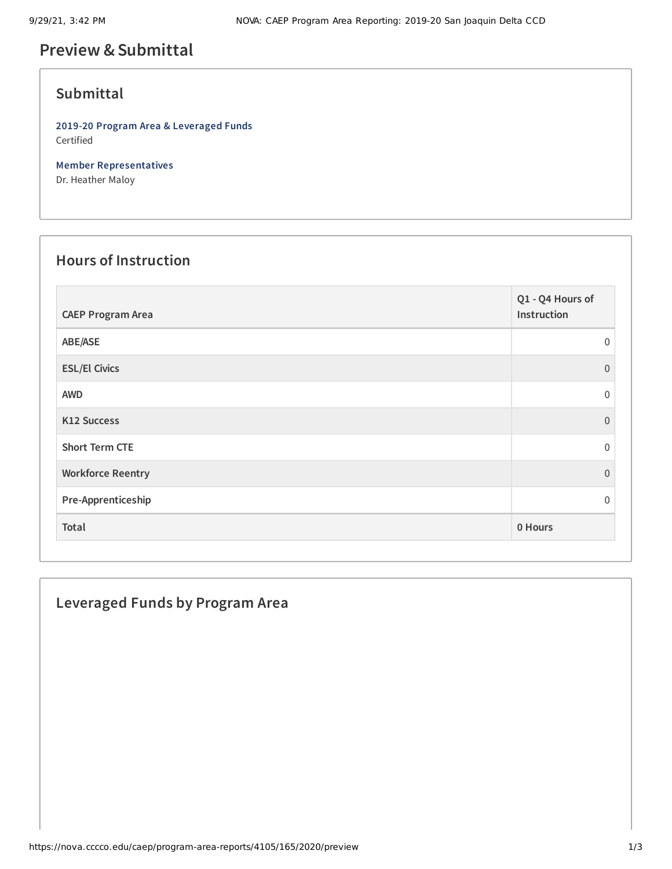# **Preview &Submittal**

## **Submittal**

**2019-20 Program Area & Leveraged Funds** Certified

**Member Representatives** Dr. Heather Maloy

#### **Hours of Instruction**

| <b>CAEP Program Area</b> | Q1 - Q4 Hours of<br>Instruction |
|--------------------------|---------------------------------|
| ABE/ASE                  | $\Omega$                        |
| <b>ESL/El Civics</b>     | $\Omega$                        |
| <b>AWD</b>               | $\mathbf 0$                     |
| <b>K12 Success</b>       | $\Omega$                        |
| <b>Short Term CTE</b>    | $\Omega$                        |
| <b>Workforce Reentry</b> | $\Omega$                        |
| Pre-Apprenticeship       | $\Omega$                        |
| Total                    | 0 Hours                         |

### **Leveraged Funds by Program Area**